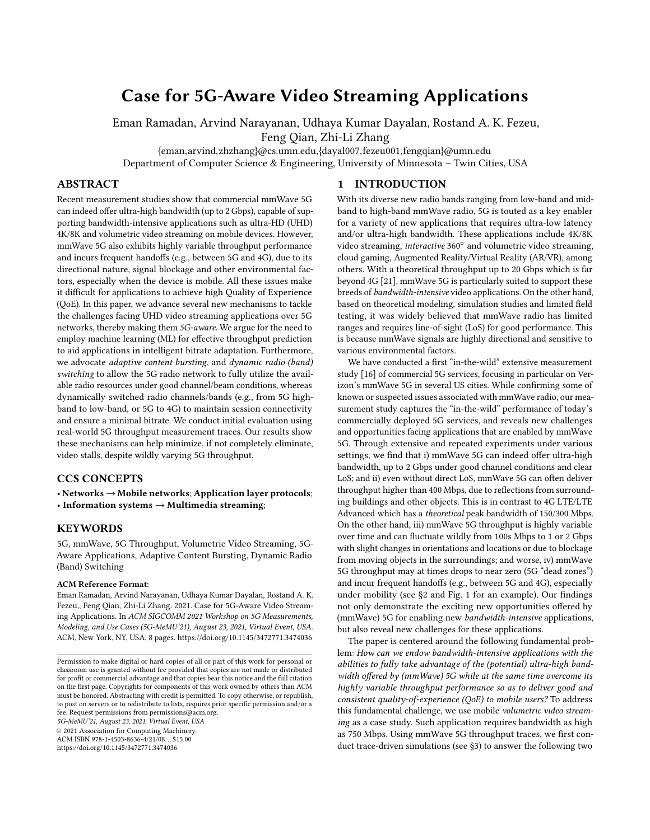# Case for 5G-Aware Video Streaming Applications

Eman Ramadan, Arvind Narayanan, Udhaya Kumar Dayalan, Rostand A. K. Fezeu,

Feng Qian, Zhi-Li Zhang

{eman,arvind,zhzhang}@cs.umn.edu,{dayal007,fezeu001,fengqian}@umn.edu

Department of Computer Science & Engineering, University of Minnesota – Twin Cities, USA

## ABSTRACT

Recent measurement studies show that commercial mmWave 5G can indeed offer ultra-high bandwidth (up to 2 Gbps), capable of supporting bandwidth-intensive applications such as ultra-HD (UHD) 4K/8K and volumetric video streaming on mobile devices. However, mmWave 5G also exhibits highly variable throughput performance and incurs frequent handoffs (e.g., between 5G and 4G), due to its directional nature, signal blockage and other environmental factors, especially when the device is mobile. All these issues make it difficult for applications to achieve high Quality of Experience (QoE). In this paper, we advance several new mechanisms to tackle the challenges facing UHD video streaming applications over 5G networks, thereby making them 5G-aware. We argue for the need to employ machine learning (ML) for effective throughput prediction to aid applications in intelligent bitrate adaptation. Furthermore, we advocate adaptive content bursting, and dynamic radio (band) switching to allow the 5G radio network to fully utilize the available radio resources under good channel/beam conditions, whereas dynamically switched radio channels/bands (e.g., from 5G highband to low-band, or 5G to 4G) to maintain session connectivity and ensure a minimal bitrate. We conduct initial evaluation using real-world 5G throughput measurement traces. Our results show these mechanisms can help minimize, if not completely eliminate, video stalls, despite wildly varying 5G throughput.

# CCS CONCEPTS

• Networks  $\rightarrow$  Mobile networks; Application layer protocols; • Information systems  $\rightarrow$  Multimedia streaming;

#### **KEYWORDS**

5G, mmWave, 5G Throughput, Volumetric Video Streaming, 5G-Aware Applications, Adaptive Content Bursting, Dynamic Radio (Band) Switching

#### ACM Reference Format:

Eman Ramadan, Arvind Narayanan, Udhaya Kumar Dayalan, Rostand A. K. Fezeu,, Feng Qian, Zhi-Li Zhang. 2021. Case for 5G-Aware Video Streaming Applications. In ACM SIGCOMM 2021 Workshop on 5G Measurements, Modeling, and Use Cases (5G-MeMU'21), August 23, 2021, Virtual Event, USA. ACM, New York, NY, USA, [8](#page-7-0) pages.<https://doi.org/10.1145/3472771.3474036>

5G-MeMU'21, August 23, 2021, Virtual Event, USA

© 2021 Association for Computing Machinery.

ACM ISBN 978-1-4503-8636-4/21/08. . . \$15.00

<https://doi.org/10.1145/3472771.3474036>

## 1 INTRODUCTION

With its diverse new radio bands ranging from low-band and midband to high-band mmWave radio, 5G is touted as a key enabler for a variety of new applications that requires ultra-low latency and/or ultra-high bandwidth. These applications include 4K/8K video streaming, interactive 360° and volumetric video streaming, cloud gaming, Augmented Reality/Virtual Reality (AR/VR), among others. With a theoretical throughput up to 20 Gbps which is far beyond 4G [\[21\]](#page-6-0), mmWave 5G is particularly suited to support these breeds of bandwidth-intensive video applications. On the other hand, based on theoretical modeling, simulation studies and limited field testing, it was widely believed that mmWave radio has limited ranges and requires line-of-sight (LoS) for good performance. This is because mmWave signals are highly directional and sensitive to various environmental factors.

We have conducted a first "in-the-wild" extensive measurement study [\[16\]](#page-6-1) of commercial 5G services, focusing in particular on Verizon's mmWave 5G in several US cities. While confirming some of known or suspected issues associated with mmWave radio, our measurement study captures the "in-the-wild" performance of today's commercially deployed 5G services, and reveals new challenges and opportunities facing applications that are enabled by mmWave 5G. Through extensive and repeated experiments under various settings, we find that i) mmWave 5G can indeed offer ultra-high bandwidth, up to 2 Gbps under good channel conditions and clear LoS; and ii) even without direct LoS, mmWave 5G can often deliver throughput higher than 400 Mbps, due to reflections from surrounding buildings and other objects. This is in contrast to 4G LTE/LTE Advanced which has a theoretical peak bandwidth of 150/300 Mbps. On the other hand, iii) mmWave 5G throughput is highly variable over time and can fluctuate wildly from 100s Mbps to 1 or 2 Gbps with slight changes in orientations and locations or due to blockage from moving objects in the surroundings; and worse, iv) mmWave 5G throughput may at times drops to near zero (5G "dead zones") and incur frequent handoffs (e.g., between 5G and 4G), especially under mobility (see [§2](#page-1-0) and Fig. [1](#page-1-1) for an example). Our findings not only demonstrate the exciting new opportunities offered by (mmWave) 5G for enabling new bandwidth-intensive applications, but also reveal new challenges for these applications.

The paper is centered around the following fundamental problem: How can we endow bandwidth-intensive applications with the abilities to fully take advantage of the (potential) ultra-high bandwidth offered by (mmWave) 5G while at the same time overcome its highly variable throughput performance so as to deliver good and consistent quality-of-experience (QoE) to mobile users? To address this fundamental challenge, we use mobile volumetric video streaming as a case study. Such application requires bandwidth as high as 750 Mbps. Using mmWave 5G throughput traces, we first conduct trace-driven simulations (see [§3\)](#page-2-0) to answer the following two

Permission to make digital or hard copies of all or part of this work for personal or classroom use is granted without fee provided that copies are not made or distributed for profit or commercial advantage and that copies bear this notice and the full citation on the first page. Copyrights for components of this work owned by others than ACM must be honored. Abstracting with credit is permitted. To copy otherwise, or republish, to post on servers or to redistribute to lists, requires prior specific permission and/or a fee. Request permissions from permissions@acm.org.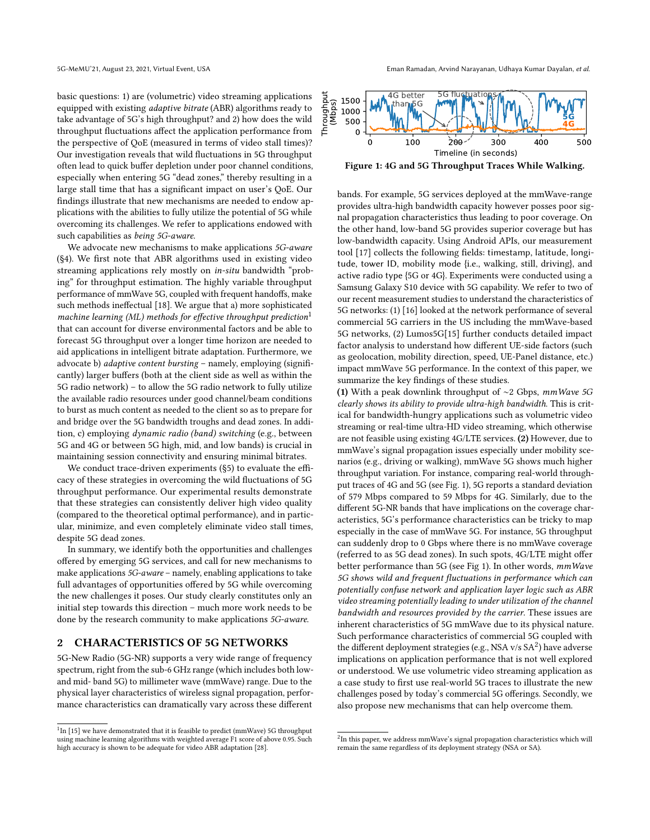basic questions: 1) are (volumetric) video streaming applications equipped with existing adaptive bitrate (ABR) algorithms ready to take advantage of 5G's high throughput? and 2) how does the wild throughput fluctuations affect the application performance from the perspective of QoE (measured in terms of video stall times)? Our investigation reveals that wild fluctuations in 5G throughput often lead to quick buffer depletion under poor channel conditions, especially when entering 5G "dead zones," thereby resulting in a large stall time that has a significant impact on user's QoE. Our findings illustrate that new mechanisms are needed to endow applications with the abilities to fully utilize the potential of 5G while overcoming its challenges. We refer to applications endowed with such capabilities as being 5G-aware.

We advocate new mechanisms to make applications 5G-aware ([§4\)](#page-2-1). We first note that ABR algorithms used in existing video streaming applications rely mostly on in-situ bandwidth "probing" for throughput estimation. The highly variable throughput performance of mmWave 5G, coupled with frequent handoffs, make such methods ineffectual [\[18\]](#page-6-2). We argue that a) more sophisticated machine learning (ML) methods for effective throughput prediction<sup>[1](#page-1-2)</sup> that can account for diverse environmental factors and be able to forecast 5G throughput over a longer time horizon are needed to aid applications in intelligent bitrate adaptation. Furthermore, we advocate b) adaptive content bursting – namely, employing (significantly) larger buffers (both at the client side as well as within the 5G radio network) – to allow the 5G radio network to fully utilize the available radio resources under good channel/beam conditions to burst as much content as needed to the client so as to prepare for and bridge over the 5G bandwidth troughs and dead zones. In addition, c) employing dynamic radio (band) switching (e.g., between 5G and 4G or between 5G high, mid, and low bands) is crucial in maintaining session connectivity and ensuring minimal bitrates.

We conduct trace-driven experiments ([§5\)](#page-3-0) to evaluate the efficacy of these strategies in overcoming the wild fluctuations of 5G throughput performance. Our experimental results demonstrate that these strategies can consistently deliver high video quality (compared to the theoretical optimal performance), and in particular, minimize, and even completely eliminate video stall times, despite 5G dead zones.

In summary, we identify both the opportunities and challenges offered by emerging 5G services, and call for new mechanisms to make applications 5G-aware – namely, enabling applications to take full advantages of opportunities offered by 5G while overcoming the new challenges it poses. Our study clearly constitutes only an initial step towards this direction – much more work needs to be done by the research community to make applications 5G-aware.

#### <span id="page-1-0"></span>2 CHARACTERISTICS OF 5G NETWORKS

5G-New Radio (5G-NR) supports a very wide range of frequency spectrum, right from the sub-6 GHz range (which includes both lowand mid- band 5G) to millimeter wave (mmWave) range. Due to the physical layer characteristics of wireless signal propagation, performance characteristics can dramatically vary across these different

<span id="page-1-1"></span>

Figure 1: 4G and 5G Throughput Traces While Walking.

bands. For example, 5G services deployed at the mmWave-range provides ultra-high bandwidth capacity however posses poor signal propagation characteristics thus leading to poor coverage. On the other hand, low-band 5G provides superior coverage but has low-bandwidth capacity. Using Android APIs, our measurement tool [\[17\]](#page-6-5) collects the following fields: timestamp, latitude, longitude, tower ID, mobility mode {i.e., walking, still, driving}, and active radio type {5G or 4G}. Experiments were conducted using a Samsung Galaxy S10 device with 5G capability. We refer to two of our recent measurement studies to understand the characteristics of 5G networks: (1) [\[16\]](#page-6-1) looked at the network performance of several commercial 5G carriers in the US including the mmWave-based 5G networks, (2) Lumos5G[\[15\]](#page-6-3) further conducts detailed impact factor analysis to understand how different UE-side factors (such as geolocation, mobility direction, speed, UE-Panel distance, etc.) impact mmWave 5G performance. In the context of this paper, we summarize the key findings of these studies.

(1) With a peak downlink throughput of ∼2 Gbps, mmWave 5G clearly shows its ability to provide ultra-high bandwidth. This is critical for bandwidth-hungry applications such as volumetric video streaming or real-time ultra-HD video streaming, which otherwise are not feasible using existing 4G/LTE services. (2) However, due to mmWave's signal propagation issues especially under mobility scenarios (e.g., driving or walking), mmWave 5G shows much higher throughput variation. For instance, comparing real-world throughput traces of 4G and 5G (see Fig. [1\)](#page-1-1), 5G reports a standard deviation of 579 Mbps compared to 59 Mbps for 4G. Similarly, due to the different 5G-NR bands that have implications on the coverage characteristics, 5G's performance characteristics can be tricky to map especially in the case of mmWave 5G. For instance, 5G throughput can suddenly drop to 0 Gbps where there is no mmWave coverage (referred to as 5G dead zones). In such spots, 4G/LTE might offer better performance than 5G (see Fig [1\)](#page-1-1). In other words, mmWave 5G shows wild and frequent fluctuations in performance which can potentially confuse network and application layer logic such as ABR video streaming potentially leading to under utilization of the channel bandwidth and resources provided by the carrier. These issues are inherent characteristics of 5G mmWave due to its physical nature. Such performance characteristics of commercial 5G coupled with the different deployment strategies (e.g., NSA  $v/s$  SA<sup>[2](#page-1-3)</sup>) have adverse implications on application performance that is not well explored or understood. We use volumetric video streaming application as a case study to first use real-world 5G traces to illustrate the new challenges posed by today's commercial 5G offerings. Secondly, we also propose new mechanisms that can help overcome them.

<span id="page-1-2"></span> $1$ In [\[15\]](#page-6-3) we have demonstrated that it is feasible to predict (mmWave) 5G throughput using machine learning algorithms with weighted average F1 score of above 0.95. Such high accuracy is shown to be adequate for video ABR adaptation [\[28\]](#page-6-4).

<span id="page-1-3"></span> $^{2}$ In this paper, we address mmWave's signal propagation characteristics which will remain the same regardless of its deployment strategy (NSA or SA).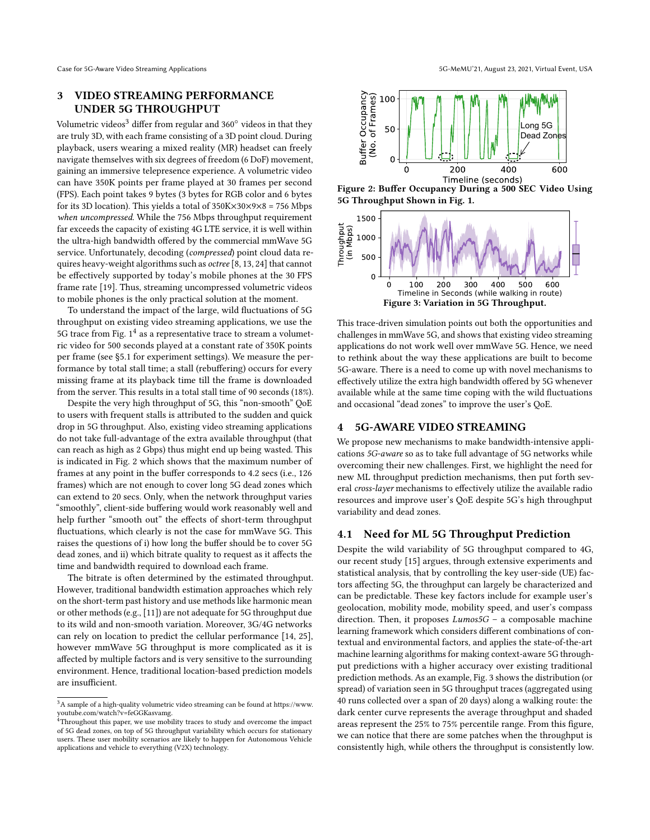# <span id="page-2-0"></span>3 VIDEO STREAMING PERFORMANCE UNDER 5G THROUGHPUT

Volumetric videos<sup>[3](#page-2-2)</sup> differ from regular and 360 $^{\circ}$  videos in that they are truly 3D, with each frame consisting of a 3D point cloud. During playback, users wearing a mixed reality (MR) headset can freely navigate themselves with six degrees of freedom (6 DoF) movement, gaining an immersive telepresence experience. A volumetric video can have 350K points per frame played at 30 frames per second (FPS). Each point takes 9 bytes (3 bytes for RGB color and 6 bytes for its 3D location). This yields a total of  $350K \times 30 \times 9 \times 8 = 756$  Mbps when uncompressed. While the 756 Mbps throughput requirement far exceeds the capacity of existing 4G LTE service, it is well within the ultra-high bandwidth offered by the commercial mmWave 5G service. Unfortunately, decoding (compressed) point cloud data requires heavy-weight algorithms such as octree [\[8,](#page-6-6) [13,](#page-6-7) [24\]](#page-6-8) that cannot be effectively supported by today's mobile phones at the 30 FPS frame rate [\[19\]](#page-6-9). Thus, streaming uncompressed volumetric videos to mobile phones is the only practical solution at the moment.

To understand the impact of the large, wild fluctuations of 5G throughput on existing video streaming applications, we use the  $5G$  trace from Fig.  $1^4$  $1^4$  as a representative trace to stream a volumetric video for 500 seconds played at a constant rate of 350K points per frame (see [§5.1](#page-3-1) for experiment settings). We measure the performance by total stall time; a stall (rebuffering) occurs for every missing frame at its playback time till the frame is downloaded from the server. This results in a total stall time of 90 seconds (18%).

Despite the very high throughput of 5G, this "non-smooth" QoE to users with frequent stalls is attributed to the sudden and quick drop in 5G throughput. Also, existing video streaming applications do not take full-advantage of the extra available throughput (that can reach as high as 2 Gbps) thus might end up being wasted. This is indicated in Fig. [2](#page-2-4) which shows that the maximum number of frames at any point in the buffer corresponds to 4.2 secs (i.e., 126 frames) which are not enough to cover long 5G dead zones which can extend to 20 secs. Only, when the network throughput varies "smoothly", client-side buffering would work reasonably well and help further "smooth out" the effects of short-term throughput fluctuations, which clearly is not the case for mmWave 5G. This raises the questions of i) how long the buffer should be to cover 5G dead zones, and ii) which bitrate quality to request as it affects the time and bandwidth required to download each frame.

The bitrate is often determined by the estimated throughput. However, traditional bandwidth estimation approaches which rely on the short-term past history and use methods like harmonic mean or other methods (e.g., [\[11\]](#page-6-10)) are not adequate for 5G throughput due to its wild and non-smooth variation. Moreover, 3G/4G networks can rely on location to predict the cellular performance [\[14,](#page-6-11) [25\]](#page-6-12), however mmWave 5G throughput is more complicated as it is affected by multiple factors and is very sensitive to the surrounding environment. Hence, traditional location-based prediction models are insufficient.

<span id="page-2-4"></span>

Figure 2: Buffer Occupancy During a 500 SEC Video Using 5G Throughput Shown in Fig. [1.](#page-1-1)

<span id="page-2-5"></span>

This trace-driven simulation points out both the opportunities and challenges in mmWave 5G, and shows that existing video streaming applications do not work well over mmWave 5G. Hence, we need to rethink about the way these applications are built to become 5G-aware. There is a need to come up with novel mechanisms to effectively utilize the extra high bandwidth offered by 5G whenever available while at the same time coping with the wild fluctuations and occasional "dead zones" to improve the user's QoE.

## <span id="page-2-1"></span>4 5G-AWARE VIDEO STREAMING

We propose new mechanisms to make bandwidth-intensive applications 5G-aware so as to take full advantage of 5G networks while overcoming their new challenges. First, we highlight the need for new ML throughput prediction mechanisms, then put forth several cross-layer mechanisms to effectively utilize the available radio resources and improve user's QoE despite 5G's high throughput variability and dead zones.

## 4.1 Need for ML 5G Throughput Prediction

Despite the wild variability of 5G throughput compared to 4G, our recent study [\[15\]](#page-6-3) argues, through extensive experiments and statistical analysis, that by controlling the key user-side (UE) factors affecting 5G, the throughput can largely be characterized and can be predictable. These key factors include for example user's geolocation, mobility mode, mobility speed, and user's compass direction. Then, it proposes  $Lumos5G - a$  composable machine learning framework which considers different combinations of contextual and environmental factors, and applies the state-of-the-art machine learning algorithms for making context-aware 5G throughput predictions with a higher accuracy over existing traditional prediction methods. As an example, Fig. [3](#page-2-5) shows the distribution (or spread) of variation seen in 5G throughput traces (aggregated using 40 runs collected over a span of 20 days) along a walking route: the dark center curve represents the average throughput and shaded areas represent the 25% to 75% percentile range. From this figure, we can notice that there are some patches when the throughput is consistently high, while others the throughput is consistently low.

<span id="page-2-2"></span> $^3\mathrm{A}$  sample of a high-quality volumetric video streaming can be found at [https://www.](https://www.youtube.com/watch?v=feGGKasvamg) [youtube.com/watch?v=feGGKasvamg.](https://www.youtube.com/watch?v=feGGKasvamg) <sup>4</sup>Throughout this paper, we use mobility traces to study and overcome the impact

<span id="page-2-3"></span>of 5G dead zones, on top of 5G throughput variability which occurs for stationary users. These user mobility scenarios are likely to happen for Autonomous Vehicle applications and vehicle to everything (V2X) technology.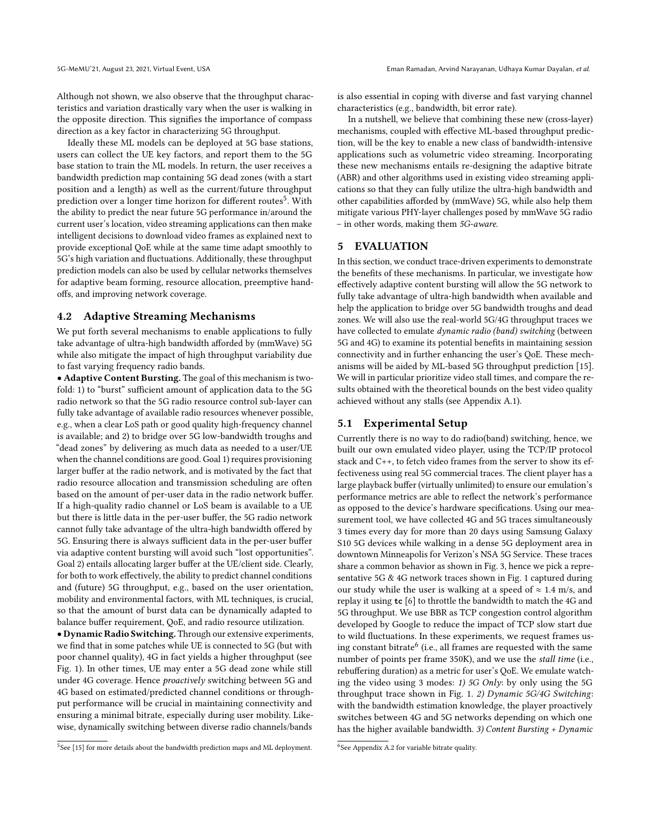Although not shown, we also observe that the throughput characteristics and variation drastically vary when the user is walking in the opposite direction. This signifies the importance of compass direction as a key factor in characterizing 5G throughput.

Ideally these ML models can be deployed at 5G base stations, users can collect the UE key factors, and report them to the 5G base station to train the ML models. In return, the user receives a bandwidth prediction map containing 5G dead zones (with a start position and a length) as well as the current/future throughput  $\frac{1}{2}$  prediction over a longer time horizon for different routes<sup>[5](#page-3-2)</sup>. With the ability to predict the near future 5G performance in/around the current user's location, video streaming applications can then make intelligent decisions to download video frames as explained next to provide exceptional QoE while at the same time adapt smoothly to 5G's high variation and fluctuations. Additionally, these throughput prediction models can also be used by cellular networks themselves for adaptive beam forming, resource allocation, preemptive handoffs, and improving network coverage.

#### 4.2 Adaptive Streaming Mechanisms

We put forth several mechanisms to enable applications to fully take advantage of ultra-high bandwidth afforded by (mmWave) 5G while also mitigate the impact of high throughput variability due to fast varying frequency radio bands.

• Adaptive Content Bursting. The goal of this mechanism is twofold: 1) to "burst" sufficient amount of application data to the 5G radio network so that the 5G radio resource control sub-layer can fully take advantage of available radio resources whenever possible, e.g., when a clear LoS path or good quality high-frequency channel is available; and 2) to bridge over 5G low-bandwidth troughs and "dead zones" by delivering as much data as needed to a user/UE when the channel conditions are good. Goal 1) requires provisioning larger buffer at the radio network, and is motivated by the fact that radio resource allocation and transmission scheduling are often based on the amount of per-user data in the radio network buffer. If a high-quality radio channel or LoS beam is available to a UE but there is little data in the per-user buffer, the 5G radio network cannot fully take advantage of the ultra-high bandwidth offered by 5G. Ensuring there is always sufficient data in the per-user buffer via adaptive content bursting will avoid such "lost opportunities". Goal 2) entails allocating larger buffer at the UE/client side. Clearly, for both to work effectively, the ability to predict channel conditions and (future) 5G throughput, e.g., based on the user orientation, mobility and environmental factors, with ML techniques, is crucial, so that the amount of burst data can be dynamically adapted to balance buffer requirement, QoE, and radio resource utilization.

• Dynamic Radio Switching. Through our extensive experiments, we find that in some patches while UE is connected to 5G (but with poor channel quality), 4G in fact yields a higher throughput (see Fig. [1\)](#page-1-1). In other times, UE may enter a 5G dead zone while still under 4G coverage. Hence proactively switching between 5G and 4G based on estimated/predicted channel conditions or throughput performance will be crucial in maintaining connectivity and ensuring a minimal bitrate, especially during user mobility. Likewise, dynamically switching between diverse radio channels/bands

<span id="page-3-2"></span> $5$ See [\[15\]](#page-6-3) for more details about the bandwidth prediction maps and ML deployment.

is also essential in coping with diverse and fast varying channel characteristics (e.g., bandwidth, bit error rate).

In a nutshell, we believe that combining these new (cross-layer) mechanisms, coupled with effective ML-based throughput prediction, will be the key to enable a new class of bandwidth-intensive applications such as volumetric video streaming. Incorporating these new mechanisms entails re-designing the adaptive bitrate (ABR) and other algorithms used in existing video streaming applications so that they can fully utilize the ultra-high bandwidth and other capabilities afforded by (mmWave) 5G, while also help them mitigate various PHY-layer challenges posed by mmWave 5G radio – in other words, making them 5G-aware.

## <span id="page-3-0"></span>5 EVALUATION

In this section, we conduct trace-driven experiments to demonstrate the benefits of these mechanisms. In particular, we investigate how effectively adaptive content bursting will allow the 5G network to fully take advantage of ultra-high bandwidth when available and help the application to bridge over 5G bandwidth troughs and dead zones. We will also use the real-world 5G/4G throughput traces we have collected to emulate dynamic radio (band) switching (between 5G and 4G) to examine its potential benefits in maintaining session connectivity and in further enhancing the user's QoE. These mechanisms will be aided by ML-based 5G throughput prediction [\[15\]](#page-6-3). We will in particular prioritize video stall times, and compare the results obtained with the theoretical bounds on the best video quality achieved without any stalls (see Appendix [A.1\)](#page-6-13).

## <span id="page-3-1"></span>5.1 Experimental Setup

Currently there is no way to do radio(band) switching, hence, we built our own emulated video player, using the TCP/IP protocol stack and C++, to fetch video frames from the server to show its effectiveness using real 5G commercial traces. The client player has a large playback buffer (virtually unlimited) to ensure our emulation's performance metrics are able to reflect the network's performance as opposed to the device's hardware specifications. Using our measurement tool, we have collected 4G and 5G traces simultaneously 3 times every day for more than 20 days using Samsung Galaxy S10 5G devices while walking in a dense 5G deployment area in downtown Minneapolis for Verizon's NSA 5G Service. These traces share a common behavior as shown in Fig. [3,](#page-2-5) hence we pick a representative 5G & 4G network traces shown in Fig. [1](#page-1-1) captured during our study while the user is walking at a speed of  $\approx$  1.4 m/s, and replay it using **tc** [\[6\]](#page-6-14) to throttle the bandwidth to match the 4G and 5G throughput. We use BBR as TCP congestion control algorithm developed by Google to reduce the impact of TCP slow start due to wild fluctuations. In these experiments, we request frames using constant bitrate  $($ i.e., all frames are requested with the same number of points per frame 350K), and we use the stall time (i.e., rebuffering duration) as a metric for user's QoE. We emulate watching the video using 3 modes: 1) 5G Only: by only using the 5G throughput trace shown in Fig. [1.](#page-1-1) 2) Dynamic 5G/4G Switching: with the bandwidth estimation knowledge, the player proactively switches between 4G and 5G networks depending on which one has the higher available bandwidth. 3) Content Bursting + Dynamic

<span id="page-3-3"></span><sup>6</sup> See Appendix [A.2](#page-7-1) for variable bitrate quality.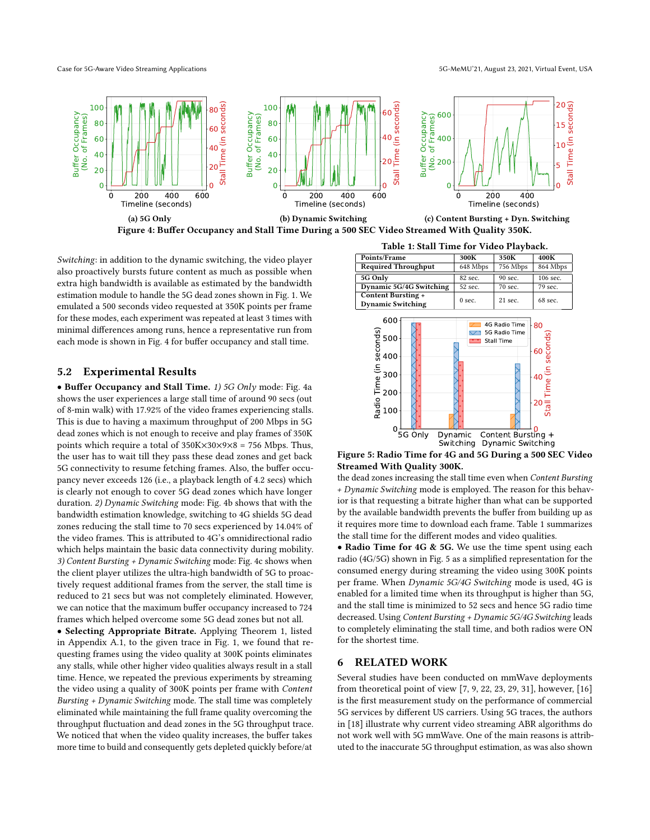Case for 5G-Aware Video Streaming Applications 5G-MeMU'21, August 23, 2021, Virtual Event, USA

<span id="page-4-0"></span>

Switching: in addition to the dynamic switching, the video player also proactively bursts future content as much as possible when extra high bandwidth is available as estimated by the bandwidth estimation module to handle the 5G dead zones shown in Fig. [1.](#page-1-1) We emulated a 500 seconds video requested at 350K points per frame for these modes, each experiment was repeated at least 3 times with minimal differences among runs, hence a representative run from each mode is shown in Fig. [4](#page-4-0) for buffer occupancy and stall time.

# 5.2 Experimental Results

• Buffer Occupancy and Stall Time. 1) 5G Only mode: Fig. [4a](#page-4-0) shows the user experiences a large stall time of around 90 secs (out of 8-min walk) with 17.92% of the video frames experiencing stalls. This is due to having a maximum throughput of 200 Mbps in 5G dead zones which is not enough to receive and play frames of 350K points which require a total of  $350K \times 30 \times 9 \times 8 = 756$  Mbps. Thus, the user has to wait till they pass these dead zones and get back 5G connectivity to resume fetching frames. Also, the buffer occupancy never exceeds 126 (i.e., a playback length of 4.2 secs) which is clearly not enough to cover 5G dead zones which have longer duration. 2) Dynamic Switching mode: Fig. [4b](#page-4-0) shows that with the bandwidth estimation knowledge, switching to 4G shields 5G dead zones reducing the stall time to 70 secs experienced by 14.04% of the video frames. This is attributed to 4G's omnidirectional radio which helps maintain the basic data connectivity during mobility. 3) Content Bursting + Dynamic Switching mode: Fig. [4c](#page-4-0) shows when the client player utilizes the ultra-high bandwidth of 5G to proactively request additional frames from the server, the stall time is reduced to 21 secs but was not completely eliminated. However, we can notice that the maximum buffer occupancy increased to 724 frames which helped overcome some 5G dead zones but not all.

• Selecting Appropriate Bitrate. Applying Theorem [1,](#page-6-15) listed in Appendix [A.1,](#page-6-13) to the given trace in Fig. [1,](#page-1-1) we found that requesting frames using the video quality at 300K points eliminates any stalls, while other higher video qualities always result in a stall time. Hence, we repeated the previous experiments by streaming the video using a quality of 300K points per frame with Content Bursting + Dynamic Switching mode. The stall time was completely eliminated while maintaining the full frame quality overcoming the throughput fluctuation and dead zones in the 5G throughput trace. We noticed that when the video quality increases, the buffer takes more time to build and consequently gets depleted quickly before/at



<span id="page-4-2"></span><span id="page-4-1"></span>

Figure 5: Radio Time for 4G and 5G During a 500 SEC Video Streamed With Quality 300K.

the dead zones increasing the stall time even when Content Bursting + Dynamic Switching mode is employed. The reason for this behavior is that requesting a bitrate higher than what can be supported by the available bandwidth prevents the buffer from building up as it requires more time to download each frame. Table [1](#page-4-1) summarizes the stall time for the different modes and video qualities.

• Radio Time for 4G & 5G. We use the time spent using each radio (4G/5G) shown in Fig. [5](#page-4-2) as a simplified representation for the consumed energy during streaming the video using 300K points per frame. When Dynamic 5G/4G Switching mode is used, 4G is enabled for a limited time when its throughput is higher than 5G, and the stall time is minimized to 52 secs and hence 5G radio time decreased. Using Content Bursting + Dynamic 5G/4G Switching leads to completely eliminating the stall time, and both radios were ON for the shortest time.

## 6 RELATED WORK

Several studies have been conducted on mmWave deployments from theoretical point of view [\[7,](#page-6-16) [9,](#page-6-17) [22,](#page-6-18) [23,](#page-6-19) [29,](#page-6-20) [31\]](#page-6-21), however, [\[16\]](#page-6-1) is the first measurement study on the performance of commercial 5G services by different US carriers. Using 5G traces, the authors in [\[18\]](#page-6-2) illustrate why current video streaming ABR algorithms do not work well with 5G mmWave. One of the main reasons is attributed to the inaccurate 5G throughput estimation, as was also shown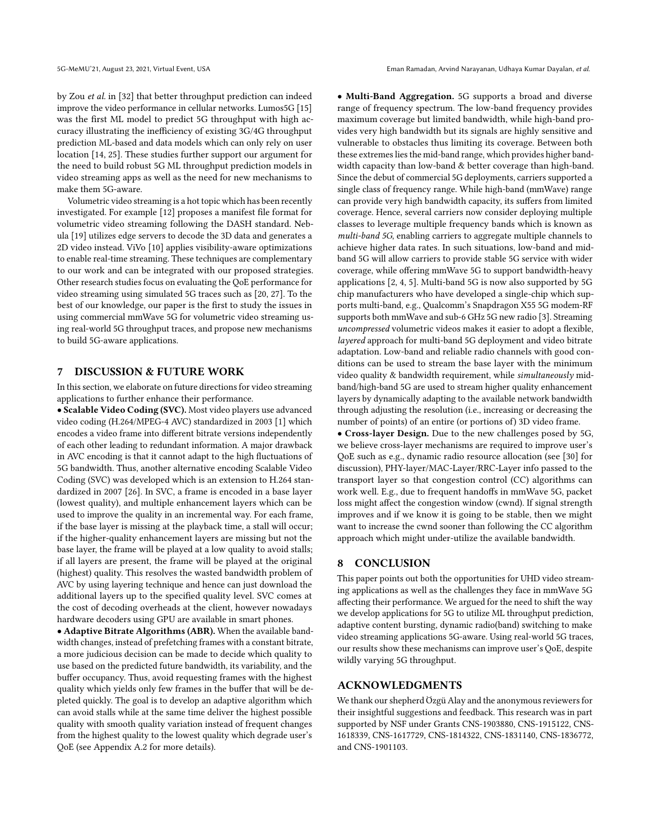by Zou et al. in [\[32\]](#page-6-22) that better throughput prediction can indeed improve the video performance in cellular networks. Lumos5G [\[15\]](#page-6-3) was the first ML model to predict 5G throughput with high accuracy illustrating the inefficiency of existing 3G/4G throughput prediction ML-based and data models which can only rely on user location [\[14,](#page-6-11) [25\]](#page-6-12). These studies further support our argument for the need to build robust 5G ML throughput prediction models in video streaming apps as well as the need for new mechanisms to make them 5G-aware.

Volumetric video streaming is a hot topic which has been recently investigated. For example [\[12\]](#page-6-23) proposes a manifest file format for volumetric video streaming following the DASH standard. Nebula [\[19\]](#page-6-9) utilizes edge servers to decode the 3D data and generates a 2D video instead. ViVo [\[10\]](#page-6-24) applies visibility-aware optimizations to enable real-time streaming. These techniques are complementary to our work and can be integrated with our proposed strategies. Other research studies focus on evaluating the QoE performance for video streaming using simulated 5G traces such as [\[20,](#page-6-25) [27\]](#page-6-26). To the best of our knowledge, our paper is the first to study the issues in using commercial mmWave 5G for volumetric video streaming using real-world 5G throughput traces, and propose new mechanisms to build 5G-aware applications.

#### 7 DISCUSSION & FUTURE WORK

In this section, we elaborate on future directions for video streaming applications to further enhance their performance.

• Scalable Video Coding (SVC). Most video players use advanced video coding (H.264/MPEG-4 AVC) standardized in 2003 [\[1\]](#page-6-27) which encodes a video frame into different bitrate versions independently of each other leading to redundant information. A major drawback in AVC encoding is that it cannot adapt to the high fluctuations of 5G bandwidth. Thus, another alternative encoding Scalable Video Coding (SVC) was developed which is an extension to H.264 standardized in 2007 [\[26\]](#page-6-28). In SVC, a frame is encoded in a base layer (lowest quality), and multiple enhancement layers which can be used to improve the quality in an incremental way. For each frame, if the base layer is missing at the playback time, a stall will occur; if the higher-quality enhancement layers are missing but not the base layer, the frame will be played at a low quality to avoid stalls; if all layers are present, the frame will be played at the original (highest) quality. This resolves the wasted bandwidth problem of AVC by using layering technique and hence can just download the additional layers up to the specified quality level. SVC comes at the cost of decoding overheads at the client, however nowadays hardware decoders using GPU are available in smart phones.

• Adaptive Bitrate Algorithms (ABR). When the available bandwidth changes, instead of prefetching frames with a constant bitrate, a more judicious decision can be made to decide which quality to use based on the predicted future bandwidth, its variability, and the buffer occupancy. Thus, avoid requesting frames with the highest quality which yields only few frames in the buffer that will be depleted quickly. The goal is to develop an adaptive algorithm which can avoid stalls while at the same time deliver the highest possible quality with smooth quality variation instead of frequent changes from the highest quality to the lowest quality which degrade user's QoE (see Appendix [A.2](#page-7-1) for more details).

• Multi-Band Aggregation. 5G supports a broad and diverse range of frequency spectrum. The low-band frequency provides maximum coverage but limited bandwidth, while high-band provides very high bandwidth but its signals are highly sensitive and vulnerable to obstacles thus limiting its coverage. Between both these extremes lies the mid-band range, which provides higher bandwidth capacity than low-band & better coverage than high-band. Since the debut of commercial 5G deployments, carriers supported a single class of frequency range. While high-band (mmWave) range can provide very high bandwidth capacity, its suffers from limited coverage. Hence, several carriers now consider deploying multiple classes to leverage multiple frequency bands which is known as multi-band 5G, enabling carriers to aggregate multiple channels to achieve higher data rates. In such situations, low-band and midband 5G will allow carriers to provide stable 5G service with wider coverage, while offering mmWave 5G to support bandwidth-heavy applications [\[2,](#page-6-29) [4,](#page-6-30) [5\]](#page-6-31). Multi-band 5G is now also supported by 5G chip manufacturers who have developed a single-chip which supports multi-band, e.g., Qualcomm's Snapdragon X55 5G modem-RF supports both mmWave and sub-6 GHz 5G new radio [\[3\]](#page-6-32). Streaming uncompressed volumetric videos makes it easier to adopt a flexible, layered approach for multi-band 5G deployment and video bitrate adaptation. Low-band and reliable radio channels with good conditions can be used to stream the base layer with the minimum video quality & bandwidth requirement, while simultaneously midband/high-band 5G are used to stream higher quality enhancement layers by dynamically adapting to the available network bandwidth through adjusting the resolution (i.e., increasing or decreasing the number of points) of an entire (or portions of) 3D video frame.

• Cross-layer Design. Due to the new challenges posed by 5G, we believe cross-layer mechanisms are required to improve user's QoE such as e.g., dynamic radio resource allocation (see [\[30\]](#page-6-33) for discussion), PHY-layer/MAC-Layer/RRC-Layer info passed to the transport layer so that congestion control (CC) algorithms can work well. E.g., due to frequent handoffs in mmWave 5G, packet loss might affect the congestion window (cwnd). If signal strength improves and if we know it is going to be stable, then we might want to increase the cwnd sooner than following the CC algorithm approach which might under-utilize the available bandwidth.

#### 8 CONCLUSION

This paper points out both the opportunities for UHD video streaming applications as well as the challenges they face in mmWave 5G affecting their performance. We argued for the need to shift the way we develop applications for 5G to utilize ML throughput prediction, adaptive content bursting, dynamic radio(band) switching to make video streaming applications 5G-aware. Using real-world 5G traces, our results show these mechanisms can improve user's QoE, despite wildly varying 5G throughput.

## ACKNOWLEDGMENTS

We thank our shepherd Özgü Alay and the anonymous reviewers for their insightful suggestions and feedback. This research was in part supported by NSF under Grants CNS-1903880, CNS-1915122, CNS-1618339, CNS-1617729, CNS-1814322, CNS-1831140, CNS-1836772, and CNS-1901103.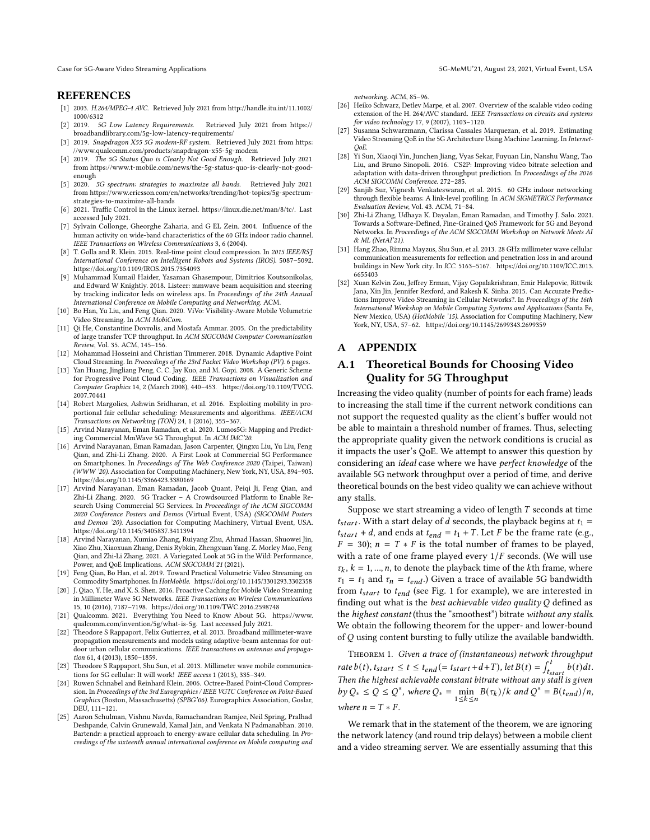#### REFERENCES

- <span id="page-6-27"></span>[1] 2003. H.264/MPEG-4 AVC. Retrieved July 2021 from [http://handle.itu.int/11.1002/](http://handle.itu.int/11.1002/1000/6312) [1000/6312](http://handle.itu.int/11.1002/1000/6312)
- <span id="page-6-29"></span>[2] 2019. 5G Low Latency Requirements. Retrieved July 2021 from [https://](https://broadbandlibrary.com/5g-low-latency-requirements/) [broadbandlibrary.com/5g-low-latency-requirements/](https://broadbandlibrary.com/5g-low-latency-requirements/)
- <span id="page-6-32"></span>[3] 2019. Snapdragon X55 5G modem-RF system. Retrieved July 2021 from [https:](https://www.qualcomm.com/products/snapdragon-x55-5g-modem) [//www.qualcomm.com/products/snapdragon-x55-5g-modem](https://www.qualcomm.com/products/snapdragon-x55-5g-modem)
- <span id="page-6-30"></span>[4] 2019. The 5G Status Quo is Clearly Not Good Enough. Retrieved July 2021 from [https://www.t-mobile.com/news/the-5g-status-quo-is-clearly-not-good](https://www.t-mobile.com/news/the-5g-status-quo-is-clearly-not-good-enough)[enough](https://www.t-mobile.com/news/the-5g-status-quo-is-clearly-not-good-enough)
- <span id="page-6-31"></span>[5] 2020. 5G spectrum: strategies to maximize all bands. Retrieved July 2021 from [https://www.ericsson.com/en/networks/trending/hot-topics/5g-spectrum](https://www.ericsson.com/en/networks/trending/hot-topics/5g-spectrum-strategies-to-maximize-all-bands)[strategies-to-maximize-all-bands](https://www.ericsson.com/en/networks/trending/hot-topics/5g-spectrum-strategies-to-maximize-all-bands)
- <span id="page-6-14"></span>[6] 2021. Traffic Control in the Linux kernel. [https://linux.die.net/man/8/tc/.](https://linux.die.net/man/8/tc/) Last accessed July 2021.
- <span id="page-6-16"></span>[7] Sylvain Collonge, Gheorghe Zaharia, and G EL Zein. 2004. Influence of the human activity on wide-band characteristics of the 60 GHz indoor radio channel. IEEE Transactions on Wireless Communications 3, 6 (2004).
- <span id="page-6-6"></span>[8] T. Golla and R. Klein. 2015. Real-time point cloud compression. In 2015 IEEE/RSJ International Conference on Intelligent Robots and Systems (IROS). 5087–5092. <https://doi.org/10.1109/IROS.2015.7354093>
- <span id="page-6-17"></span>[9] Muhammad Kumail Haider, Yasaman Ghasempour, Dimitrios Koutsonikolas, and Edward W Knightly. 2018. Listeer: mmwave beam acquisition and steering by tracking indicator leds on wireless aps. In Proceedings of the 24th Annual International Conference on Mobile Computing and Networking. ACM.
- <span id="page-6-24"></span>[10] Bo Han, Yu Liu, and Feng Qian. 2020. ViVo: Visibility-Aware Mobile Volumetric Video Streaming. In ACM MobiCom.
- <span id="page-6-10"></span>[11] Qi He, Constantine Dovrolis, and Mostafa Ammar. 2005. On the predictability of large transfer TCP throughput. In ACM SIGCOMM Computer Communication Review, Vol. 35. ACM, 145–156.
- <span id="page-6-23"></span>[12] Mohammad Hosseini and Christian Timmerer. 2018. Dynamic Adaptive Point Cloud Streaming. In Proceedings of the 23rd Packet Video Workshop ( $P\hat{V}$ ). 6 pages.
- <span id="page-6-7"></span>[13] Yan Huang, Jingliang Peng, C. C. Jay Kuo, and M. Gopi. 2008. A Generic Scheme for Progressive Point Cloud Coding. IEEE Transactions on Visualization and Computer Graphics 14, 2 (March 2008), 440–453. [https://doi.org/10.1109/TVCG.](https://doi.org/10.1109/TVCG.2007.70441) [2007.70441](https://doi.org/10.1109/TVCG.2007.70441)
- <span id="page-6-11"></span>[14] Robert Margolies, Ashwin Sridharan, et al. 2016. Exploiting mobility in proportional fair cellular scheduling: Measurements and algorithms. IEEE/ACM Transactions on Networking (TON) 24, 1 (2016), 355–367.
- <span id="page-6-3"></span>[15] Arvind Narayanan, Eman Ramadan, et al. 2020. Lumos5G: Mapping and Predicting Commercial MmWave 5G Throughput. In ACM IMC'20.
- <span id="page-6-1"></span>[16] Arvind Narayanan, Eman Ramadan, Jason Carpenter, Qingxu Liu, Yu Liu, Feng Qian, and Zhi-Li Zhang. 2020. A First Look at Commercial 5G Performance on Smartphones. In Proceedings of The Web Conference 2020 (Taipei, Taiwan) (WWW '20). Association for Computing Machinery, New York, NY, USA, 894–905. <https://doi.org/10.1145/3366423.3380169>
- <span id="page-6-5"></span>[17] Arvind Narayanan, Eman Ramadan, Jacob Quant, Peiqi Ji, Feng Qian, and Zhi-Li Zhang. 2020. 5G Tracker – A Crowdsourced Platform to Enable Research Using Commercial 5G Services. In Proceedings of the ACM SIGCOMM 2020 Conference Posters and Demos (Virtual Event, USA) (SIGCOMM Posters and Demos '20). Association for Computing Machinery, Virtual Event, USA. <https://doi.org/10.1145/3405837.3411394>
- <span id="page-6-2"></span>[18] Arvind Narayanan, Xumiao Zhang, Ruiyang Zhu, Ahmad Hassan, Shuowei Jin, Xiao Zhu, Xiaoxuan Zhang, Denis Rybkin, Zhengxuan Yang, Z. Morley Mao, Feng Qian, and Zhi-Li Zhang. 2021. A Variegated Look at 5G in the Wild: Performance, Power, and QoE Implications. ACM SIGCOMM'21 (2021).
- <span id="page-6-9"></span>[19] Feng Qian, Bo Han, et al. 2019. Toward Practical Volumetric Video Streaming on Commodity Smartphones. In HotMobile.<https://doi.org/10.1145/3301293.3302358>
- <span id="page-6-25"></span>[20] J. Qiao, Y. He, and X. S. Shen. 2016. Proactive Caching for Mobile Video Streaming in Millimeter Wave 5G Networks. IEEE Transactions on Wireless Communications 15, 10 (2016), 7187–7198.<https://doi.org/10.1109/TWC.2016.2598748>
- <span id="page-6-0"></span>[21] Qualcomm. 2021. Everything You Need to Know About 5G. [https://www.](https://www.qualcomm.com/invention/5g/what-is-5g) [qualcomm.com/invention/5g/what-is-5g.](https://www.qualcomm.com/invention/5g/what-is-5g) Last accessed July 2021.
- <span id="page-6-18"></span>[22] Theodore S Rappaport, Felix Gutierrez, et al. 2013. Broadband millimeter-wave propagation measurements and models using adaptive-beam antennas for outdoor urban cellular communications. IEEE transactions on antennas and propagation 61, 4 (2013), 1850–1859.
- <span id="page-6-19"></span>[23] Theodore S Rappaport, Shu Sun, et al. 2013. Millimeter wave mobile communications for 5G cellular: It will work! IEEE access 1 (2013), 335–349.
- <span id="page-6-8"></span>[24] Ruwen Schnabel and Reinhard Klein. 2006. Octree-Based Point-Cloud Compression. In Proceedings of the 3rd Eurographics / IEEE VGTC Conference on Point-Based Graphics (Boston, Massachusetts) (SPBG'06). Eurographics Association, Goslar, DEU, 111–121.
- <span id="page-6-12"></span>[25] Aaron Schulman, Vishnu Navda, Ramachandran Ramjee, Neil Spring, Pralhad Deshpande, Calvin Grunewald, Kamal Jain, and Venkata N Padmanabhan. 2010. Bartendr: a practical approach to energy-aware cellular data scheduling. In Proceedings of the sixteenth annual international conference on Mobile computing and

networking. ACM, 85–96.

- <span id="page-6-28"></span>[26] Heiko Schwarz, Detlev Marpe, et al. 2007. Overview of the scalable video coding extension of the H. 264/AVC standard. IEEE Transactions on circuits and systems for video technology 17, 9 (2007), 1103–1120.
- <span id="page-6-26"></span>[27] Susanna Schwarzmann, Clarissa Cassales Marquezan, et al. 2019. Estimating Video Streaming QoE in the 5G Architecture Using Machine Learning. In Internet-QoE.
- <span id="page-6-4"></span>[28] Yi Sun, Xiaoqi Yin, Junchen Jiang, Vyas Sekar, Fuyuan Lin, Nanshu Wang, Tao Liu, and Bruno Sinopoli. 2016. CS2P: Improving video bitrate selection and adaptation with data-driven throughput prediction. In Proceedings of the 2016 ACM SIGCOMM Conference. 272–285.
- <span id="page-6-20"></span>[29] Sanjib Sur, Vignesh Venkateswaran, et al. 2015. 60 GHz indoor networking through flexible beams: A link-level profiling. In ACM SIGMETRICS Performance Evaluation Review, Vol. 43. ACM, 71–84.
- <span id="page-6-33"></span>[30] Zhi-Li Zhang, Udhaya K. Dayalan, Eman Ramadan, and Timothy J. Salo. 2021. Towards a Software-Defined, Fine-Grained QoS Framework for 5G and Beyond Networks. In Proceedings of the ACM SIGCOMM Workshop on Network Meets AI & ML (NetAI'21).
- <span id="page-6-21"></span>[31] Hang Zhao, Rimma Mayzus, Shu Sun, et al. 2013. 28 GHz millimeter wave cellular communication measurements for reflection and penetration loss in and around buildings in New York city. In ICC. 5163–5167. [https://doi.org/10.1109/ICC.2013.](https://doi.org/10.1109/ICC.2013.6655403) [6655403](https://doi.org/10.1109/ICC.2013.6655403)
- <span id="page-6-22"></span>[32] Xuan Kelvin Zou, Jeffrey Erman, Vijay Gopalakrishnan, Emir Halepovic, Rittwik Jana, Xin Jin, Jennifer Rexford, and Rakesh K. Sinha. 2015. Can Accurate Predictions Improve Video Streaming in Cellular Networks?. In Proceedings of the 16th International Workshop on Mobile Computing Systems and Applications (Santa Fe, New Mexico, USA) (HotMobile '15). Association for Computing Machinery, New York, NY, USA, 57–62.<https://doi.org/10.1145/2699343.2699359>

## A APPENDIX

# <span id="page-6-13"></span>A.1 Theoretical Bounds for Choosing Video Quality for 5G Throughput

Increasing the video quality (number of points for each frame) leads to increasing the stall time if the current network conditions can not support the requested quality as the client's buffer would not be able to maintain a threshold number of frames. Thus, selecting the appropriate quality given the network conditions is crucial as it impacts the user's QoE. We attempt to answer this question by considering an ideal case where we have perfect knowledge of the available 5G network throughput over a period of time, and derive theoretical bounds on the best video quality we can achieve without any stalls.

Suppose we start streaming a video of length  $T$  seconds at time  $t_{start}$ . With a start delay of *d* seconds, the playback begins at  $t_1 =$  $t_{start} + d$ , and ends at  $t_{end} = t_1 + T$ . Let F be the frame rate (e.g.,  $F = 30$ ;  $n = T * F$  is the total number of frames to be played, with a rate of one frame played every  $1/F$  seconds. (We will use  $\tau_k$ ,  $k = 1, ..., n$ , to denote the playback time of the *k*th frame, where  $\tau_1 = t_1$  and  $\tau_n = t_{end}$ .) Given a trace of available 5G bandwidth from  $t_{start}$  to  $t_{end}$  (see Fig. [1](#page-1-1) for example), we are interested in finding out what is the best achievable video quality  $Q$  defined as the highest constant (thus the "smoothest") bitrate without any stalls. We obtain the following theorem for the upper- and lower-bound of  $Q$  using content bursting to fully utilize the available bandwidth.

<span id="page-6-15"></span>THEOREM 1. Given a trace of (instantaneous) network throughput rate  $b(t)$ ,  $t_{start} \le t \le t_{end} (= t_{start} + d + T)$ , let  $B(t) = \int_{t_{start}}^{t} b(t) dt$ . Then the highest achievable constant bitrate without any stall is given by  $Q_* \le Q \le Q^*$ , where  $Q_* = \min_{1 \le k \le n} B(\tau_k)/k$  and  $Q^* = B(t_{end})/n$ , where  $n = T \times F$ .

We remark that in the statement of the theorem, we are ignoring the network latency (and round trip delays) between a mobile client and a video streaming server. We are essentially assuming that this